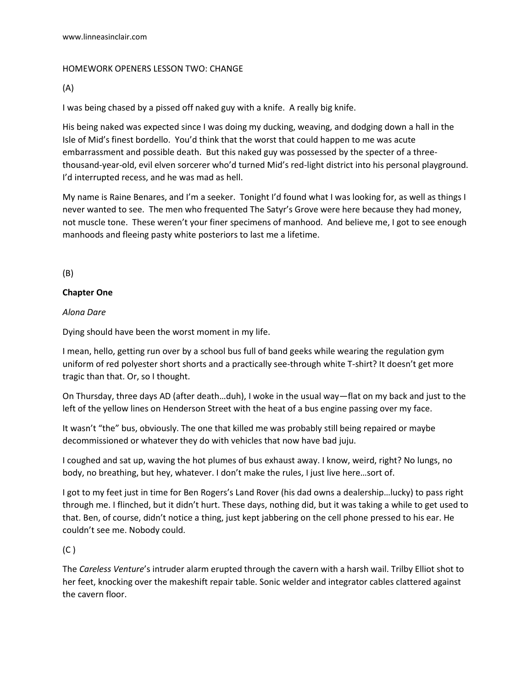## HOMEWORK OPENERS LESSON TWO: CHANGE

(A)

I was being chased by a pissed off naked guy with a knife. A really big knife.

His being naked was expected since I was doing my ducking, weaving, and dodging down a hall in the Isle of Mid's finest bordello. You'd think that the worst that could happen to me was acute embarrassment and possible death. But this naked guy was possessed by the specter of a threethousand-year-old, evil elven sorcerer who'd turned Mid's red-light district into his personal playground. I'd interrupted recess, and he was mad as hell.

My name is Raine Benares, and I'm a seeker. Tonight I'd found what I was looking for, as well as things I never wanted to see. The men who frequented The Satyr's Grove were here because they had money, not muscle tone. These weren't your finer specimens of manhood. And believe me, I got to see enough manhoods and fleeing pasty white posteriors to last me a lifetime.

(B)

## **Chapter One**

*Alona Dare*

Dying should have been the worst moment in my life.

I mean, hello, getting run over by a school bus full of band geeks while wearing the regulation gym uniform of red polyester short shorts and a practically see-through white T-shirt? It doesn't get more tragic than that. Or, so I thought.

On Thursday, three days AD (after death…duh), I woke in the usual way—flat on my back and just to the left of the yellow lines on Henderson Street with the heat of a bus engine passing over my face.

It wasn't "the" bus, obviously. The one that killed me was probably still being repaired or maybe decommissioned or whatever they do with vehicles that now have bad juju.

I coughed and sat up, waving the hot plumes of bus exhaust away. I know, weird, right? No lungs, no body, no breathing, but hey, whatever. I don't make the rules, I just live here…sort of.

I got to my feet just in time for Ben Rogers's Land Rover (his dad owns a dealership…lucky) to pass right through me. I flinched, but it didn't hurt. These days, nothing did, but it was taking a while to get used to that. Ben, of course, didn't notice a thing, just kept jabbering on the cell phone pressed to his ear. He couldn't see me. Nobody could.

(C )

The *Careless Venture*'s intruder alarm erupted through the cavern with a harsh wail. Trilby Elliot shot to her feet, knocking over the makeshift repair table. Sonic welder and integrator cables clattered against the cavern floor.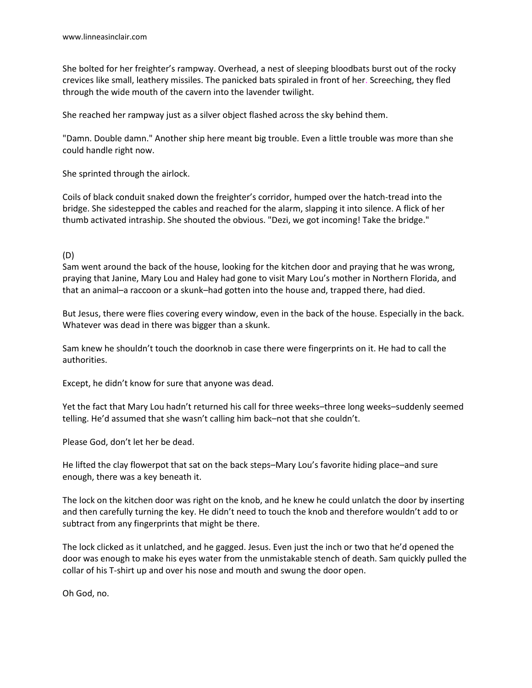She bolted for her freighter's rampway. Overhead, a nest of sleeping bloodbats burst out of the rocky crevices like small, leathery missiles. The panicked bats spiraled in front of her. Screeching, they fled through the wide mouth of the cavern into the lavender twilight.

She reached her rampway just as a silver object flashed across the sky behind them.

"Damn. Double damn." Another ship here meant big trouble. Even a little trouble was more than she could handle right now.

She sprinted through the airlock.

Coils of black conduit snaked down the freighter's corridor, humped over the hatch-tread into the bridge. She sidestepped the cables and reached for the alarm, slapping it into silence. A flick of her thumb activated intraship. She shouted the obvious. "Dezi, we got incoming! Take the bridge."

## (D)

Sam went around the back of the house, looking for the kitchen door and praying that he was wrong, praying that Janine, Mary Lou and Haley had gone to visit Mary Lou's mother in Northern Florida, and that an animal–a raccoon or a skunk–had gotten into the house and, trapped there, had died.

But Jesus, there were flies covering every window, even in the back of the house. Especially in the back. Whatever was dead in there was bigger than a skunk.

Sam knew he shouldn't touch the doorknob in case there were fingerprints on it. He had to call the authorities.

Except, he didn't know for sure that anyone was dead.

Yet the fact that Mary Lou hadn't returned his call for three weeks–three long weeks–suddenly seemed telling. He'd assumed that she wasn't calling him back–not that she couldn't.

Please God, don't let her be dead.

He lifted the clay flowerpot that sat on the back steps–Mary Lou's favorite hiding place–and sure enough, there was a key beneath it.

The lock on the kitchen door was right on the knob, and he knew he could unlatch the door by inserting and then carefully turning the key. He didn't need to touch the knob and therefore wouldn't add to or subtract from any fingerprints that might be there.

The lock clicked as it unlatched, and he gagged. Jesus. Even just the inch or two that he'd opened the door was enough to make his eyes water from the unmistakable stench of death. Sam quickly pulled the collar of his T-shirt up and over his nose and mouth and swung the door open.

Oh God, no.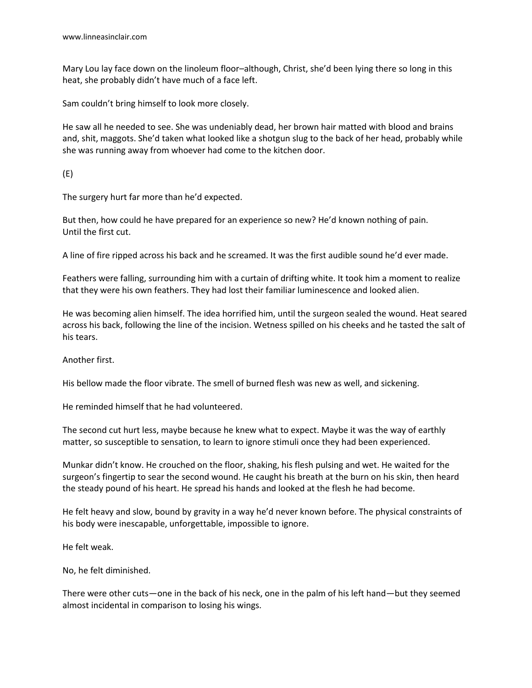Mary Lou lay face down on the linoleum floor–although, Christ, she'd been lying there so long in this heat, she probably didn't have much of a face left.

Sam couldn't bring himself to look more closely.

He saw all he needed to see. She was undeniably dead, her brown hair matted with blood and brains and, shit, maggots. She'd taken what looked like a shotgun slug to the back of her head, probably while she was running away from whoever had come to the kitchen door.

(E)

The surgery hurt far more than he'd expected.

But then, how could he have prepared for an experience so new? He'd known nothing of pain. Until the first cut.

A line of fire ripped across his back and he screamed. It was the first audible sound he'd ever made.

Feathers were falling, surrounding him with a curtain of drifting white. It took him a moment to realize that they were his own feathers. They had lost their familiar luminescence and looked alien.

He was becoming alien himself. The idea horrified him, until the surgeon sealed the wound. Heat seared across his back, following the line of the incision. Wetness spilled on his cheeks and he tasted the salt of his tears.

Another first.

His bellow made the floor vibrate. The smell of burned flesh was new as well, and sickening.

He reminded himself that he had volunteered.

The second cut hurt less, maybe because he knew what to expect. Maybe it was the way of earthly matter, so susceptible to sensation, to learn to ignore stimuli once they had been experienced.

Munkar didn't know. He crouched on the floor, shaking, his flesh pulsing and wet. He waited for the surgeon's fingertip to sear the second wound. He caught his breath at the burn on his skin, then heard the steady pound of his heart. He spread his hands and looked at the flesh he had become.

He felt heavy and slow, bound by gravity in a way he'd never known before. The physical constraints of his body were inescapable, unforgettable, impossible to ignore.

He felt weak.

No, he felt diminished.

There were other cuts—one in the back of his neck, one in the palm of his left hand—but they seemed almost incidental in comparison to losing his wings.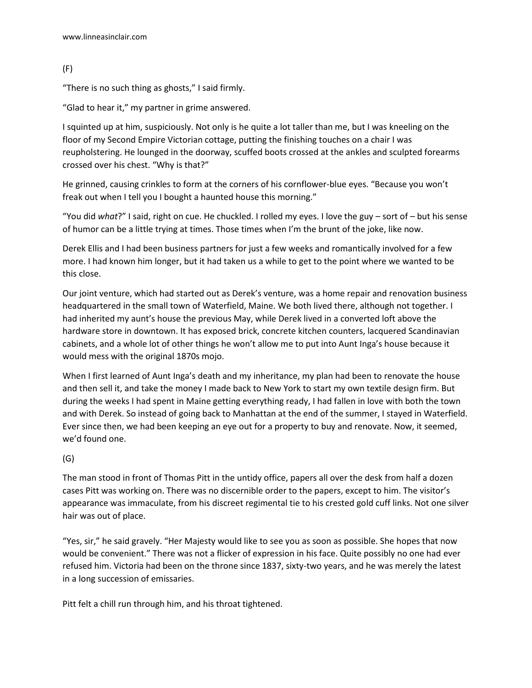```
(F)
```
"There is no such thing as ghosts," I said firmly.

"Glad to hear it," my partner in grime answered.

I squinted up at him, suspiciously. Not only is he quite a lot taller than me, but I was kneeling on the floor of my Second Empire Victorian cottage, putting the finishing touches on a chair I was reupholstering. He lounged in the doorway, scuffed boots crossed at the ankles and sculpted forearms crossed over his chest. "Why is that?"

He grinned, causing crinkles to form at the corners of his cornflower-blue eyes. "Because you won't freak out when I tell you I bought a haunted house this morning."

"You did *what*?" I said, right on cue. He chuckled. I rolled my eyes. I love the guy – sort of – but his sense of humor can be a little trying at times. Those times when I'm the brunt of the joke, like now.

Derek Ellis and I had been business partners for just a few weeks and romantically involved for a few more. I had known him longer, but it had taken us a while to get to the point where we wanted to be this close.

Our joint venture, which had started out as Derek's venture, was a home repair and renovation business headquartered in the small town of Waterfield, Maine. We both lived there, although not together. I had inherited my aunt's house the previous May, while Derek lived in a converted loft above the hardware store in downtown. It has exposed brick, concrete kitchen counters, lacquered Scandinavian cabinets, and a whole lot of other things he won't allow me to put into Aunt Inga's house because it would mess with the original 1870s mojo.

When I first learned of Aunt Inga's death and my inheritance, my plan had been to renovate the house and then sell it, and take the money I made back to New York to start my own textile design firm. But during the weeks I had spent in Maine getting everything ready, I had fallen in love with both the town and with Derek. So instead of going back to Manhattan at the end of the summer, I stayed in Waterfield. Ever since then, we had been keeping an eye out for a property to buy and renovate. Now, it seemed, we'd found one.

## (G)

The man stood in front of Thomas Pitt in the untidy office, papers all over the desk from half a dozen cases Pitt was working on. There was no discernible order to the papers, except to him. The visitor's appearance was immaculate, from his discreet regimental tie to his crested gold cuff links. Not one silver hair was out of place.

"Yes, sir," he said gravely. "Her Majesty would like to see you as soon as possible. She hopes that now would be convenient." There was not a flicker of expression in his face. Quite possibly no one had ever refused him. Victoria had been on the throne since 1837, sixty-two years, and he was merely the latest in a long succession of emissaries.

Pitt felt a chill run through him, and his throat tightened.